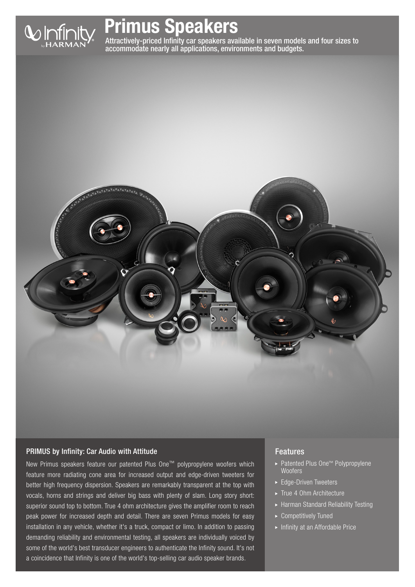

# Primus Speakers

Attractively-priced Infinity car speakers available in seven models and four sizes to accommodate nearly all applications, environments and budgets.



# PRIMUS by Infinity: Car Audio with Attitude

New Primus speakers feature our patented Plus One™ polypropylene woofers which feature more radiating cone area for increased output and edge-driven tweeters for better high frequency dispersion. Speakers are remarkably transparent at the top with vocals, horns and strings and deliver big bass with plenty of slam. Long story short: superior sound top to bottom. True 4 ohm architecture gives the amplifier room to reach peak power for increased depth and detail. There are seven Primus models for easy installation in any vehicle, whether it's a truck, compact or limo. In addition to passing demanding reliability and environmental testing, all speakers are individually voiced by some of the world's best transducer engineers to authenticate the Infinity sound. It's not a coincidence that Infinity is one of the world's top-selling car audio speaker brands.

# Features

- ▶ Patented Plus One<sup>™</sup> Polypropylene Woofers
- ► Edge-Driven Tweeters
- True 4 Ohm Architecture
- Harman Standard Reliability Testing
- Competitively Tuned
- **Infinity at an Affordable Price**